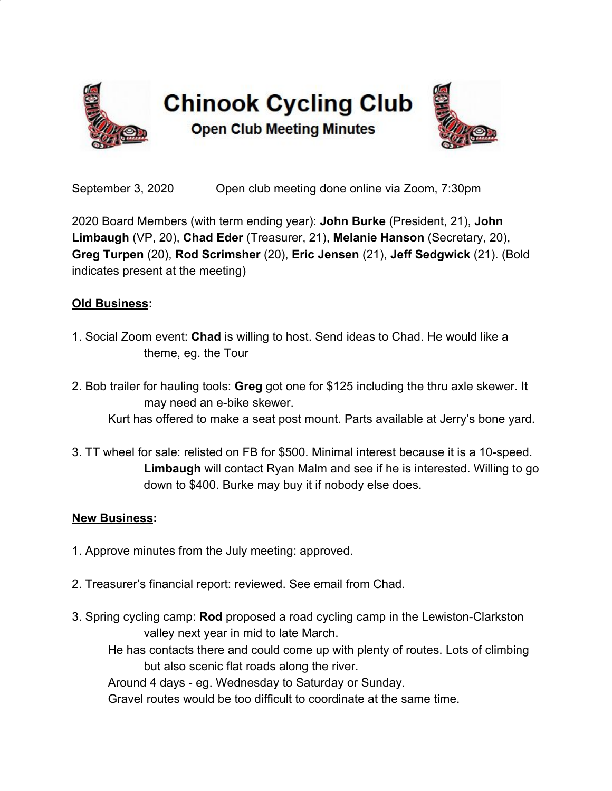

September 3, 2020 Open club meeting done online via Zoom, 7:30pm

2020 Board Members (with term ending year): **John Burke** (President, 21), **John Limbaugh** (VP, 20), **Chad Eder** (Treasurer, 21), **Melanie Hanson** (Secretary, 20), **Greg Turpen** (20), **Rod Scrimsher** (20), **Eric Jensen** (21), **Jeff Sedgwick** (21). (Bold indicates present at the meeting)

## **Old Business:**

- 1. Social Zoom event: **Chad** is willing to host. Send ideas to Chad. He would like a theme, eg. the Tour
- 2. Bob trailer for hauling tools: **Greg** got one for \$125 including the thru axle skewer. It may need an e-bike skewer. Kurt has offered to make a seat post mount. Parts available at Jerry's bone yard.
- 3. TT wheel for sale: relisted on FB for \$500. Minimal interest because it is a 10-speed. **Limbaugh** will contact Ryan Malm and see if he is interested. Willing to go down to \$400. Burke may buy it if nobody else does.

## **New Business:**

- 1. Approve minutes from the July meeting: approved.
- 2. Treasurer's financial report: reviewed. See email from Chad.
- 3. Spring cycling camp: **Rod** proposed a road cycling camp in the Lewiston-Clarkston valley next year in mid to late March.

He has contacts there and could come up with plenty of routes. Lots of climbing but also scenic flat roads along the river.

Around 4 days - eg. Wednesday to Saturday or Sunday.

Gravel routes would be too difficult to coordinate at the same time.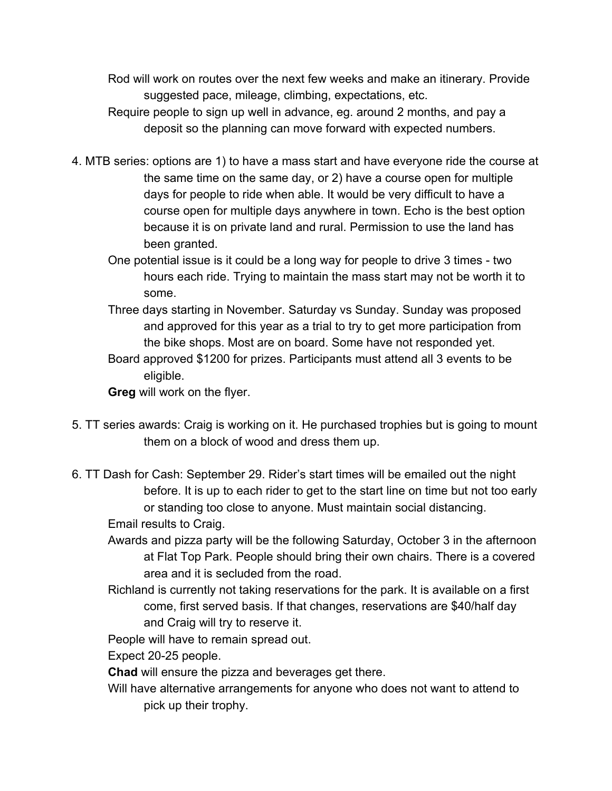Rod will work on routes over the next few weeks and make an itinerary. Provide suggested pace, mileage, climbing, expectations, etc.

- Require people to sign up well in advance, eg. around 2 months, and pay a deposit so the planning can move forward with expected numbers.
- 4. MTB series: options are 1) to have a mass start and have everyone ride the course at the same time on the same day, or 2) have a course open for multiple days for people to ride when able. It would be very difficult to have a course open for multiple days anywhere in town. Echo is the best option because it is on private land and rural. Permission to use the land has been granted.
	- One potential issue is it could be a long way for people to drive 3 times two hours each ride. Trying to maintain the mass start may not be worth it to some.
	- Three days starting in November. Saturday vs Sunday. Sunday was proposed and approved for this year as a trial to try to get more participation from the bike shops. Most are on board. Some have not responded yet.
	- Board approved \$1200 for prizes. Participants must attend all 3 events to be eligible.

**Greg** will work on the flyer.

- 5. TT series awards: Craig is working on it. He purchased trophies but is going to mount them on a block of wood and dress them up.
- 6. TT Dash for Cash: September 29. Rider's start times will be emailed out the night before. It is up to each rider to get to the start line on time but not too early or standing too close to anyone. Must maintain social distancing.

Email results to Craig.

- Awards and pizza party will be the following Saturday, October 3 in the afternoon at Flat Top Park. People should bring their own chairs. There is a covered area and it is secluded from the road.
- Richland is currently not taking reservations for the park. It is available on a first come, first served basis. If that changes, reservations are \$40/half day and Craig will try to reserve it.

People will have to remain spread out.

Expect 20-25 people.

**Chad** will ensure the pizza and beverages get there.

Will have alternative arrangements for anyone who does not want to attend to pick up their trophy.